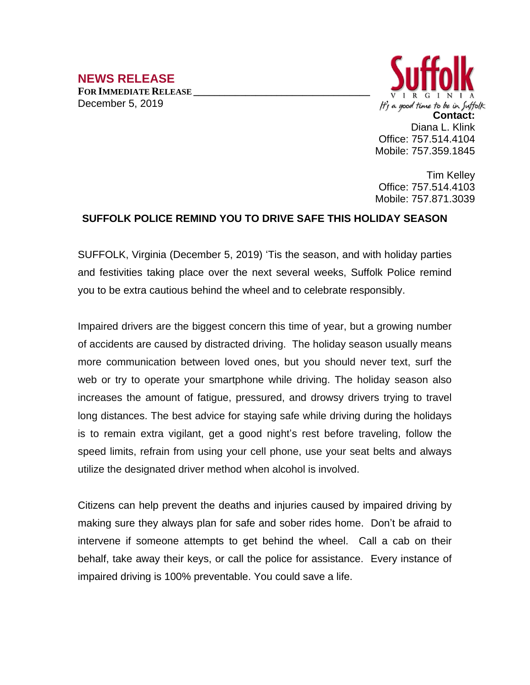## **NEWS RELEASE**

**FOR IMMEDIATE RELEASE \_\_\_\_\_\_\_\_\_\_\_\_\_\_\_\_\_\_\_\_\_\_\_\_\_\_\_\_\_\_\_\_\_\_** December 5, 2019



Tim Kelley Office: 757.514.4103 Mobile: 757.871.3039

## **SUFFOLK POLICE REMIND YOU TO DRIVE SAFE THIS HOLIDAY SEASON**

SUFFOLK, Virginia (December 5, 2019) 'Tis the season, and with holiday parties and festivities taking place over the next several weeks, Suffolk Police remind you to be extra cautious behind the wheel and to celebrate responsibly.

Impaired drivers are the biggest concern this time of year, but a growing number of accidents are caused by distracted driving. The holiday season usually means more communication between loved ones, but you should never text, surf the web or try to operate your smartphone while driving. The holiday season also increases the amount of fatigue, pressured, and drowsy drivers trying to travel long distances. The best advice for staying safe while driving during the holidays is to remain extra vigilant, get a good night's rest before traveling, follow the speed limits, refrain from using your cell phone, use your seat belts and always utilize the designated driver method when alcohol is involved.

Citizens can help prevent the deaths and injuries caused by impaired driving by making sure they always plan for safe and sober rides home. Don't be afraid to intervene if someone attempts to get behind the wheel. Call a cab on their behalf, take away their keys, or call the police for assistance. Every instance of impaired driving is 100% preventable. You could save a life.